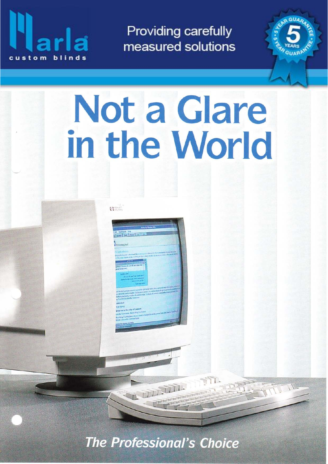

**Providing carefully** measured solutions

# Not a Glare in the World

 $\mathbf{G}^{\text{max}}$ 

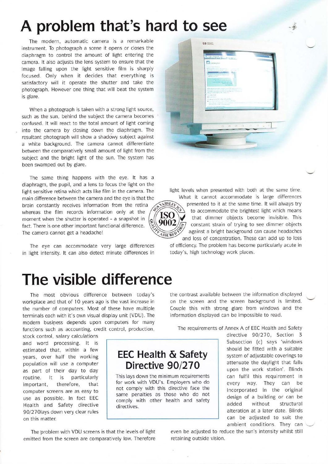# A problem that's hard to see

The modern, automatic camera is a remarkable instrument. To photograph a scene it opens or closes the diaphragm to control the amount of light entering the camera. lt also adjusts the lens system to ensure that the image falling upon the light sensitive film is sharply focused. Only when it decides that everything is satisfactory will it operate the shutter and take the photograph. However one thing that will beat the system is glare.

When a photograph is taken with a strong light source, such as the sun, behind the subject the camera becomes confused. lt will react to the total amount of light coming into the camera by closing down the diaphragm. The resultant photograph will show a shadowy subject against a white background. The camera cannot differentiate between the comparatively small amount of light from the subject and the bright light of the sun. The system has been swamped out by glare.

The same thing happens with the eye. lt has <sup>a</sup> diaphragm, the pupil, and a lens to focus the light on the light sensitive retina which acts like film in the camera. The main difference between the camera and the eve is that the brain constantly receives information from the retina  $\left(\frac{\sqrt{MRSLE}}{2}\right)$  presented to it at the same time. It will always try whereas the film records information only at the  $\gamma$   $\sim$  to accommodate the brightest light which means<br>moment when the shutter is operated - a snapshot in  $\sim$   $\sim$  that dimmer objects become invisible. This moment when the shutter is operated - a snapshot in  $\left(\frac{1800}{5002}\right)^*$  that dimmer objects become invisible. This fact. There is one other important functional difference.<br>The camera cannot get a headache!

The eye can accommodate very large differences in light intensity. lt can also detect minute differences in



 $-6$ 

light levels when presented with both at the same time.



against a bright background can cause headaches What it cannot accommodate is large differences and loss of concentration. These can add up to loss

of efficiency. The problem has become particularly acute in today's, high technology work places.

## The visible difference

The most obvious difference between today's workplace and that of l0 years ago is the vast increase in the number of computers. Most of these have multiple terminals each with it's own visual display unit (VDU). The modern busipess depends upon computers for many functions such as accounting, credit control, production,

stock control, salary calculations and word processing. lt is estimated that, within a few years, over half the working population will use a computer as part of their day to day routine. It is particularly important, therefore, that computer screens are as easy to use as possible. ln fact EEC Health and Safety directive 90/270lays down very clear rules on this matter.

the contrast available between the information displayed on the screen and the screen background is limited. Couple this with strong glare from windows and the information displayed can be impossible to read.

The requirements of Annex A of EEC Health and Safety

EEC Health & Safety Directive 90/270

This lays down the minimum requirements for work with VDU's. Employers who do not comply with this directive face the same penalties as those who do not comply with other health and safety directives.

directive 90/270, Section 3 Subsection (c) says 'windows should be fitted with a suitable system of adjustable coverings to attenuate the daylight that falls upon the work station'. Blinds can fulfil this requirement in every way. They can be incorporated in the original design of a building or can be added without structural alteration at a later date. Blinds can be adjusted to suit the ambient conditions. They can

The problem with VDU screens is that the levels of light emitted from the screen are comparatively low. Therefore even be adjusted to reduce the sun's intensity whilst still retaining outside vision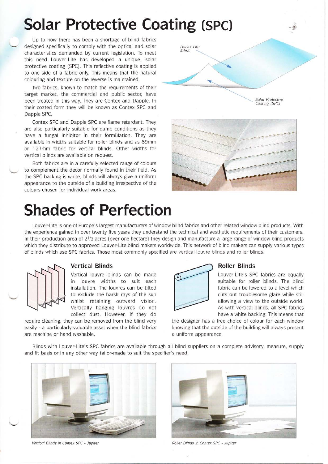# Solar Protective Coating (sPc)

Up to now there has been a shortage of blind fabrics designed specifically to comply with the optical and solar characteristics demanded by current legislation. To meet this need Louver-Lite has developed a unique, solar protective coating (SPC). This reflective coating is applied to one side of a fabric only. This means that the natural colouring and texture on the reverse is maintained.

Two fabrics, known to match the requirements of their target market, the commercial and public sector; have been treated in this way. They are Contex and Dapple. In their coated form they will be known as Contex SPC and Dapple SPC.

Contex SPC and Dapple SPC are flame retardant. They are also particularly suitable for damp conditions as they have a fungal inhibitor in their formulation. They are available in widths suitable for roller blinds and as 89mm or 127mm fabric for vertical blinds. Other widths for vertical blinds are available on request.

Both fabrics are in a carefully selected range of colours to complement the decor normally found in their field. As the SPC backing is white, blinds will always give a uniform appearance to the outside of a building irrespective of the colours chosen for individual work areas.

# Shades of Perfection



s'



Louver-Lite is one of Europe's largest manufacturers of window blind fabrics and other related window blind products. With the experience gained in over twenty five years they understand the technical and aesthetic requirements of their customers. In their production area of  $2\frac{1}{2}$  acres (over one hectare) they design and manufacture a large range of window blind products which they distribute to approved Louver-Lite blind makers worldwide. This network of blind makers can supply various types of blinds which use SPC fabrics. Those most commonly specified are vertical louvre blinds and roller blinds.



### Vertical Blinds

Vertical louvre blinds can be made in louvre widths to suit each installation. The louvres can be tilted to exclude the harsh rays of the sun whilst retaining outward vision. Vertically hanging louvres do not collect dust. However, if they do

require cleaning, they can be removed from the blind very easily - a particularly valuable asset when the blind fabrics are machine or hand washable.



### Roller Blinds

Louver-Lite's SPC fabrics are equally suitable for roller blinds. The blind fabric can be lowered to a level which cuts out troublesome glare while still allowing a view to the outside world. As with vertical blinds, all SPC fabrics have a white backing. This means that

the designer has a free choice of colour for each window knowing that the outside of the building will always present a uniform appearance.

Blinds with Louver-Lite's SPC fabrics are available through all blind suppliers on a complete advisory, measure, supply and fit basis or in any other way tailor-made to suit the specifier's need.



Vertical Blinds in Contex SPC - Jupiter **Roller Blinds in Contex SPC - Jupiter** Roller Blinds in Contex SPC - Jupiter